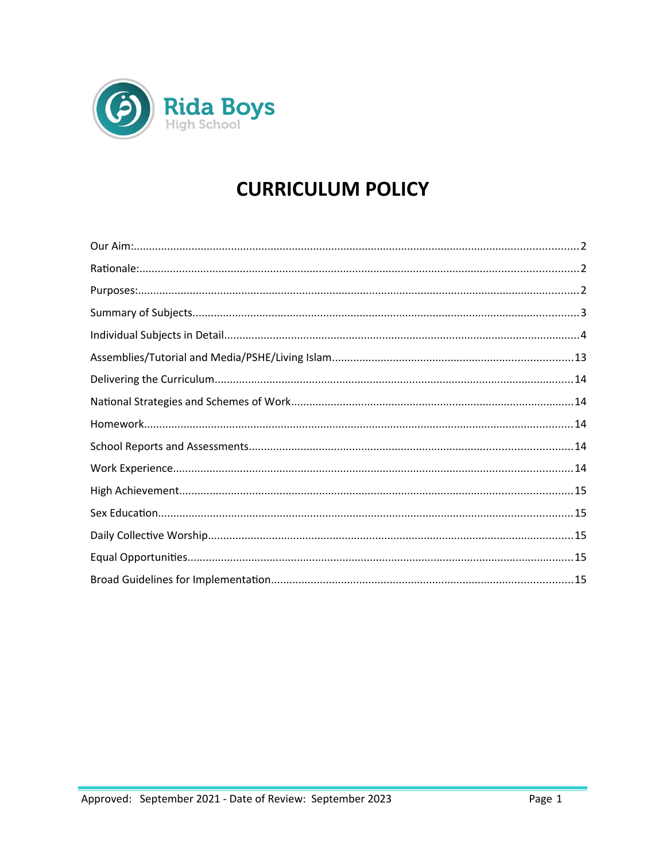

# **CURRICULUM POLICY**

<span id="page-0-0"></span>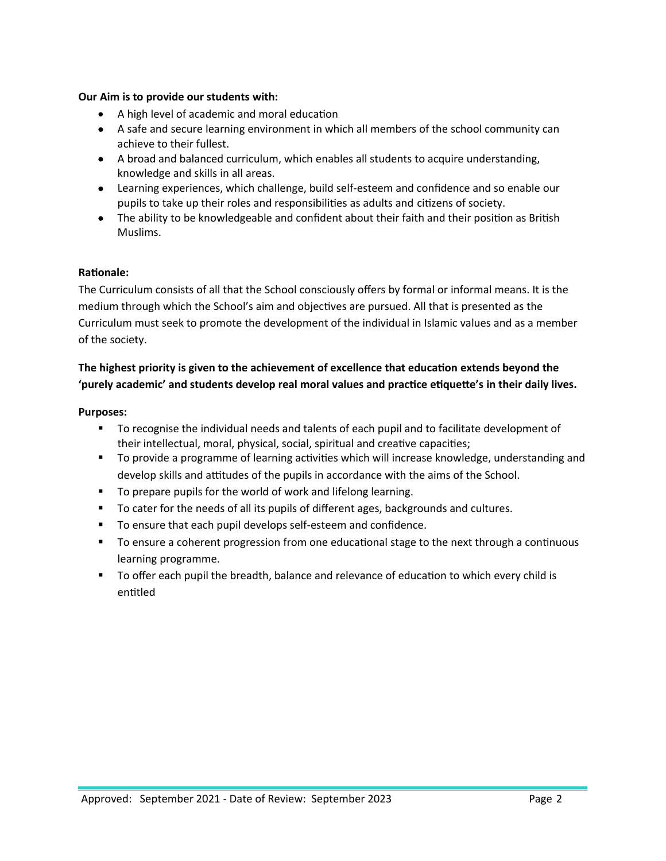## **Our Aim is to provide our students with:**

- A high level of academic and moral education
- A safe and secure learning environment in which all members of the school community can achieve to their fullest.
- A broad and balanced curriculum, which enables all students to acquire understanding, knowledge and skills in all areas.
- Learning experiences, which challenge, build self-esteem and confidence and so enable our pupils to take up their roles and responsibilities as adults and citizens of society.
- The ability to be knowledgeable and confident about their faith and their position as British Muslims.

## <span id="page-1-0"></span>**Rationale:**

The Curriculum consists of all that the School consciously offers by formal or informal means. It is the medium through which the School's aim and objectives are pursued. All that is presented as the Curriculum must seek to promote the development of the individual in Islamic values and as a member of the society.

# **The highest priority is given to the achievement of excellence that education extends beyond the 'purely academic' and students develop real moral values and practice etiquette's in their daily lives.**

## <span id="page-1-1"></span>**Purposes:**

- To recognise the individual needs and talents of each pupil and to facilitate development of their intellectual, moral, physical, social, spiritual and creative capacities;
- To provide a programme of learning activities which will increase knowledge, understanding and develop skills and attitudes of the pupils in accordance with the aims of the School.
- To prepare pupils for the world of work and lifelong learning.
- To cater for the needs of all its pupils of different ages, backgrounds and cultures.
- To ensure that each pupil develops self-esteem and confidence.
- To ensure a coherent progression from one educational stage to the next through a continuous learning programme.
- <span id="page-1-2"></span> To offer each pupil the breadth, balance and relevance of education to which every child is entitled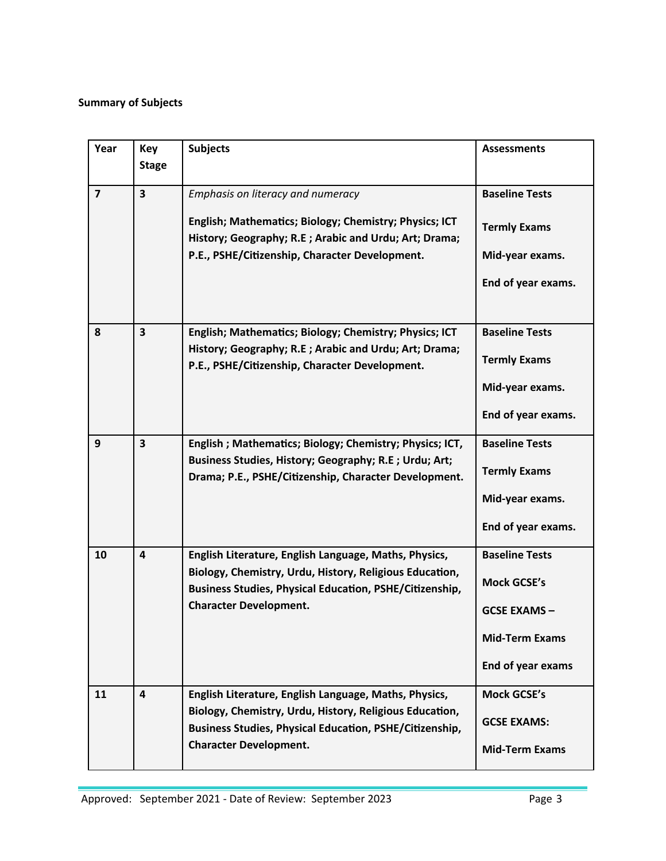# **Summary of Subjects**

| Year           | Key<br><b>Stage</b>                                                                                                                                                                                   | <b>Subjects</b>                                                                                                           | <b>Assessments</b>                                      |
|----------------|-------------------------------------------------------------------------------------------------------------------------------------------------------------------------------------------------------|---------------------------------------------------------------------------------------------------------------------------|---------------------------------------------------------|
| $\overline{7}$ | $\overline{\mathbf{3}}$                                                                                                                                                                               | Emphasis on literacy and numeracy<br>English; Mathematics; Biology; Chemistry; Physics; ICT                               | <b>Baseline Tests</b><br><b>Termly Exams</b>            |
|                |                                                                                                                                                                                                       | History; Geography; R.E; Arabic and Urdu; Art; Drama;                                                                     |                                                         |
|                |                                                                                                                                                                                                       | P.E., PSHE/Citizenship, Character Development.                                                                            | Mid-year exams.                                         |
|                |                                                                                                                                                                                                       |                                                                                                                           | End of year exams.                                      |
| 8              | $\overline{\mathbf{3}}$                                                                                                                                                                               | English; Mathematics; Biology; Chemistry; Physics; ICT                                                                    | <b>Baseline Tests</b>                                   |
|                |                                                                                                                                                                                                       | History; Geography; R.E; Arabic and Urdu; Art; Drama;<br>P.E., PSHE/Citizenship, Character Development.                   | <b>Termly Exams</b>                                     |
|                |                                                                                                                                                                                                       |                                                                                                                           | Mid-year exams.                                         |
|                |                                                                                                                                                                                                       |                                                                                                                           | End of year exams.                                      |
| 9              | $\overline{\mathbf{3}}$<br>English; Mathematics; Biology; Chemistry; Physics; ICT,<br>Business Studies, History; Geography; R.E ; Urdu; Art;<br>Drama; P.E., PSHE/Citizenship, Character Development. | <b>Baseline Tests</b>                                                                                                     |                                                         |
|                |                                                                                                                                                                                                       |                                                                                                                           | <b>Termly Exams</b>                                     |
|                |                                                                                                                                                                                                       |                                                                                                                           | Mid-year exams.                                         |
|                |                                                                                                                                                                                                       |                                                                                                                           | End of year exams.                                      |
| 10             | 4                                                                                                                                                                                                     | English Literature, English Language, Maths, Physics,                                                                     | <b>Baseline Tests</b>                                   |
|                |                                                                                                                                                                                                       | Biology, Chemistry, Urdu, History, Religious Education,<br><b>Business Studies, Physical Education, PSHE/Citizenship,</b> | <b>Mock GCSE's</b>                                      |
|                |                                                                                                                                                                                                       | <b>Character Development.</b>                                                                                             | <b>GCSE EXAMS-</b>                                      |
|                |                                                                                                                                                                                                       |                                                                                                                           | <b>Mid-Term Exams</b>                                   |
|                |                                                                                                                                                                                                       |                                                                                                                           | End of year exams                                       |
| 11             | 4                                                                                                                                                                                                     | English Literature, English Language, Maths, Physics,                                                                     | <b>Mock GCSE's</b>                                      |
|                |                                                                                                                                                                                                       | <b>Business Studies, Physical Education, PSHE/Citizenship,</b>                                                            | Biology, Chemistry, Urdu, History, Religious Education, |
|                |                                                                                                                                                                                                       | <b>Character Development.</b>                                                                                             | <b>Mid-Term Exams</b>                                   |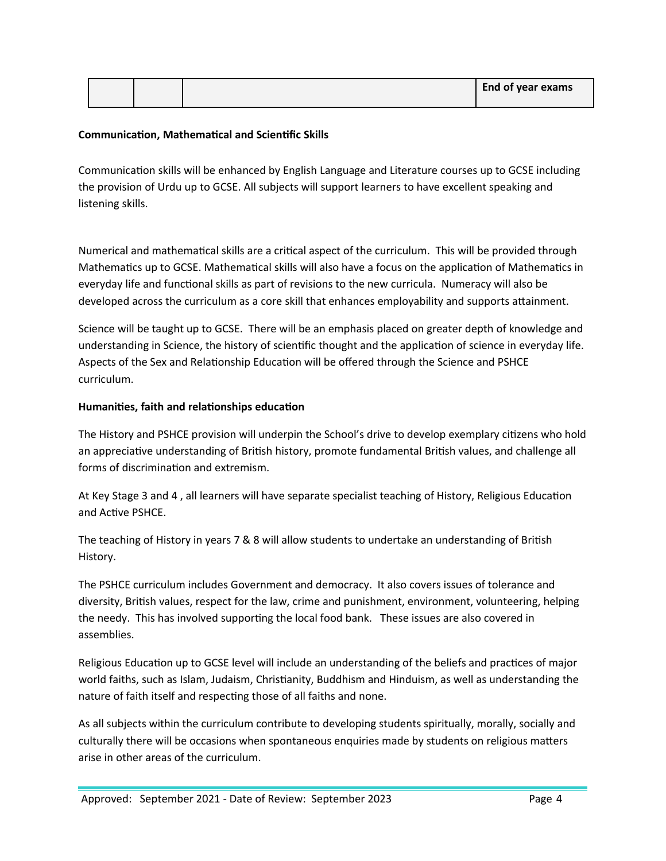|  |  | <b>End of year exams</b> |
|--|--|--------------------------|
|  |  |                          |

## **Communication, Mathematical and Scientific Skills**

Communication skills will be enhanced by English Language and Literature courses up to GCSE including the provision of Urdu up to GCSE. All subjects will support learners to have excellent speaking and listening skills.

Numerical and mathematical skills are a critical aspect of the curriculum. This will be provided through Mathematics up to GCSE. Mathematical skills will also have a focus on the application of Mathematics in everyday life and functional skills as part of revisions to the new curricula. Numeracy will also be developed across the curriculum as a core skill that enhances employability and supports attainment.

Science will be taught up to GCSE. There will be an emphasis placed on greater depth of knowledge and understanding in Science, the history of scientific thought and the application of science in everyday life. Aspects of the Sex and Relationship Education will be offered through the Science and PSHCE curriculum.

#### **Humanities, faith and relationships education**

The History and PSHCE provision will underpin the School's drive to develop exemplary citizens who hold an appreciative understanding of British history, promote fundamental British values, and challenge all forms of discrimination and extremism.

At Key Stage 3 and 4 , all learners will have separate specialist teaching of History, Religious Education and Active PSHCE.

The teaching of History in years 7 & 8 will allow students to undertake an understanding of British History.

The PSHCE curriculum includes Government and democracy. It also covers issues of tolerance and diversity, British values, respect for the law, crime and punishment, environment, volunteering, helping the needy. This has involved supporting the local food bank. These issues are also covered in assemblies.

Religious Education up to GCSE level will include an understanding of the beliefs and practices of major world faiths, such as Islam, Judaism, Christianity, Buddhism and Hinduism, as well as understanding the nature of faith itself and respecting those of all faiths and none.

As all subjects within the curriculum contribute to developing students spiritually, morally, socially and culturally there will be occasions when spontaneous enquiries made by students on religious matters arise in other areas of the curriculum.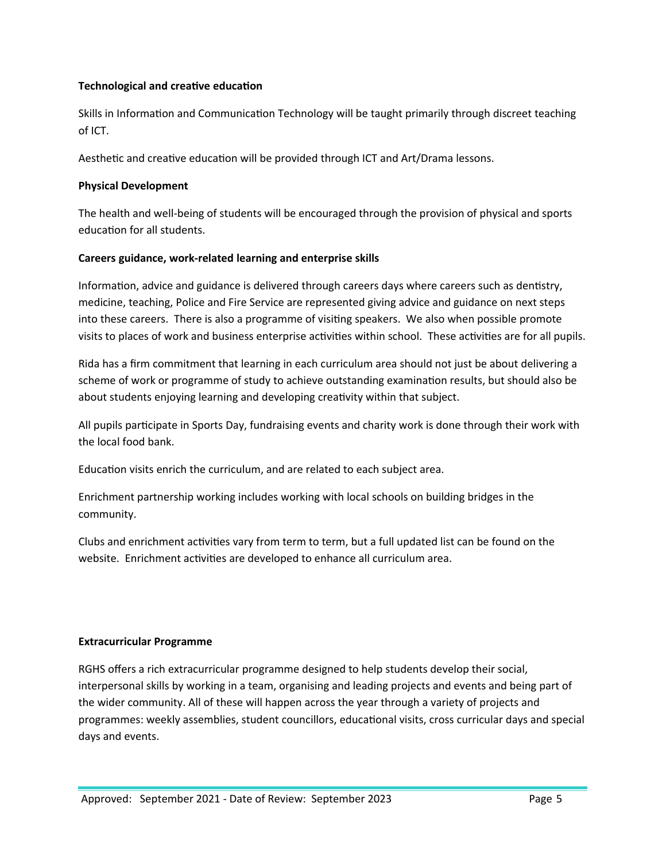## **Technological and creative education**

Skills in Information and Communication Technology will be taught primarily through discreet teaching of ICT.

Aesthetic and creative education will be provided through ICT and Art/Drama lessons.

## **Physical Development**

The health and well-being of students will be encouraged through the provision of physical and sports education for all students.

## **Careers guidance, work-related learning and enterprise skills**

Information, advice and guidance is delivered through careers days where careers such as dentistry, medicine, teaching, Police and Fire Service are represented giving advice and guidance on next steps into these careers. There is also a programme of visiting speakers. We also when possible promote visits to places of work and business enterprise activities within school. These activities are for all pupils.

Rida has a firm commitment that learning in each curriculum area should not just be about delivering a scheme of work or programme of study to achieve outstanding examination results, but should also be about students enjoying learning and developing creativity within that subject.

All pupils participate in Sports Day, fundraising events and charity work is done through their work with the local food bank.

Education visits enrich the curriculum, and are related to each subject area.

Enrichment partnership working includes working with local schools on building bridges in the community.

Clubs and enrichment activities vary from term to term, but a full updated list can be found on the website. Enrichment activities are developed to enhance all curriculum area.

#### **Extracurricular Programme**

RGHS offers a rich extracurricular programme designed to help students develop their social, interpersonal skills by working in a team, organising and leading projects and events and being part of the wider community. All of these will happen across the year through a variety of projects and programmes: weekly assemblies, student councillors, educational visits, cross curricular days and special days and events.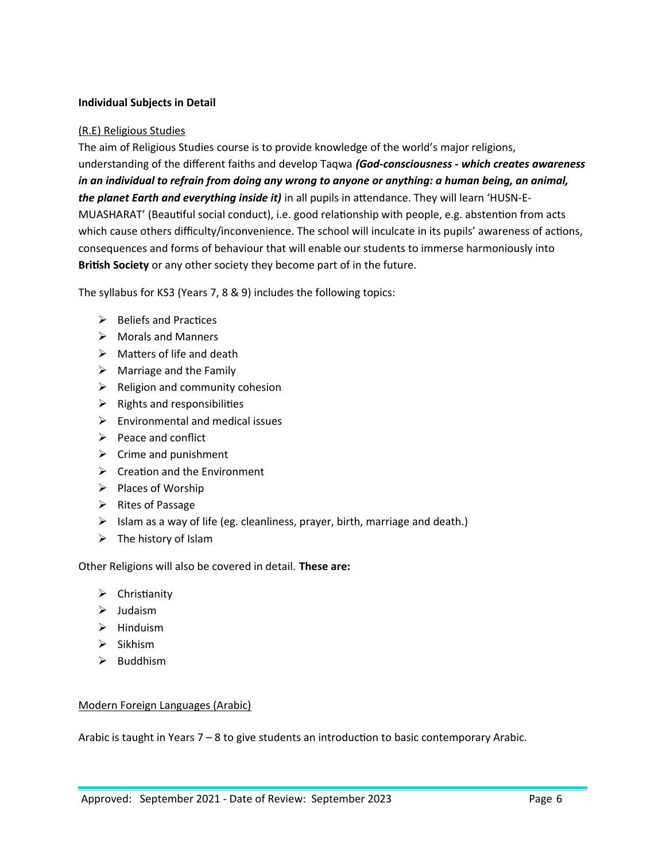## **Individual Subjects in Detail**

## (R.E) Religious Studies

The aim of Religious Studies course is to provide knowledge of the world's major religions, understanding of the different faiths and develop Taqwa *(God-consciousness - which creates awareness in an individual to refrain from doing any wrong to anyone or anything: a human being, an animal, the planet Earth and everything inside it)* in all pupils in attendance. They will learn 'HUSN-E-MUASHARAT' (Beautiful social conduct), i.e. good relationship with people, e.g. abstention from acts which cause others difficulty/inconvenience. The school will inculcate in its pupils' awareness of actions, consequences and forms of behaviour that will enable our students to immerse harmoniously into **British Society** or any other society they become part of in the future.

The syllabus for KS3 (Years 7, 8 & 9) includes the following topics:

- $\triangleright$  Beliefs and Practices
- $\triangleright$  Morals and Manners
- $\triangleright$  Matters of life and death
- $\triangleright$  Marriage and the Family
- $\triangleright$  Religion and community cohesion
- $\triangleright$  Rights and responsibilities
- $\triangleright$  Environmental and medical issues
- $\triangleright$  Peace and conflict
- $\triangleright$  Crime and punishment
- $\triangleright$  Creation and the Environment
- $\triangleright$  Places of Worship
- $\triangleright$  Rites of Passage
- $\triangleright$  Islam as a way of life (eg. cleanliness, prayer, birth, marriage and death.)
- $\triangleright$  The history of Islam

Other Religions will also be covered in detail. **These are:**

- $\triangleright$  Christianity
- $\blacktriangleright$  Judaism
- $\triangleright$  Hinduism
- $\triangleright$  Sikhism
- $\triangleright$  Buddhism

#### Modern Foreign Languages (Arabic)

Arabic is taught in Years 7 – 8 to give students an introduction to basic contemporary Arabic.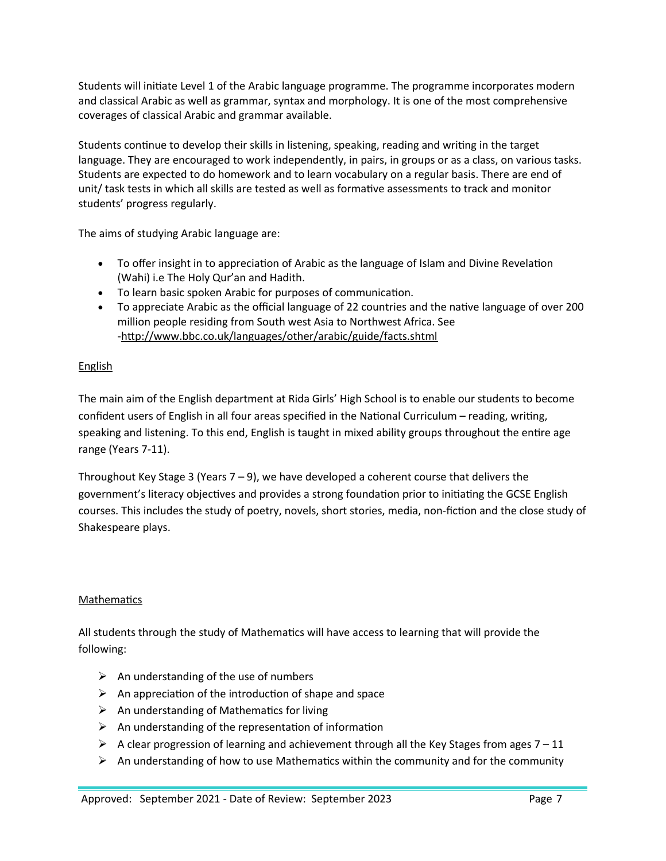Students will initiate Level 1 of the Arabic language programme. The programme incorporates modern and classical Arabic as well as grammar, syntax and morphology. It is one of the most comprehensive coverages of classical Arabic and grammar available.

Students continue to develop their skills in listening, speaking, reading and writing in the target language. They are encouraged to work independently, in pairs, in groups or as a class, on various tasks. Students are expected to do homework and to learn vocabulary on a regular basis. There are end of unit/ task tests in which all skills are tested as well as formative assessments to track and monitor students' progress regularly.

The aims of studying Arabic language are:

- To offer insight in to appreciation of Arabic as the language of Islam and Divine Revelation (Wahi) i.e The Holy Qur'an and Hadith.
- To learn basic spoken Arabic for purposes of communication.
- To appreciate Arabic as the official language of 22 countries and the native language of over 200 million people residing from South west Asia to Northwest Africa. See -http://www.bbc.co.uk/languages/other/arabic/guide/facts.shtml

# English

The main aim of the English department at Rida Girls' High School is to enable our students to become confident users of English in all four areas specified in the National Curriculum – reading, writing, speaking and listening. To this end, English is taught in mixed ability groups throughout the entire age range (Years 7-11).

Throughout Key Stage 3 (Years  $7 - 9$ ), we have developed a coherent course that delivers the government's literacy objectives and provides a strong foundation prior to initiating the GCSE English courses. This includes the study of poetry, novels, short stories, media, non-fiction and the close study of Shakespeare plays.

## Mathematics

All students through the study of Mathematics will have access to learning that will provide the following:

- $\triangleright$  An understanding of the use of numbers
- $\triangleright$  An appreciation of the introduction of shape and space
- $\triangleright$  An understanding of Mathematics for living
- $\triangleright$  An understanding of the representation of information
- A clear progression of learning and achievement through all the Key Stages from ages  $7 11$
- $\triangleright$  An understanding of how to use Mathematics within the community and for the community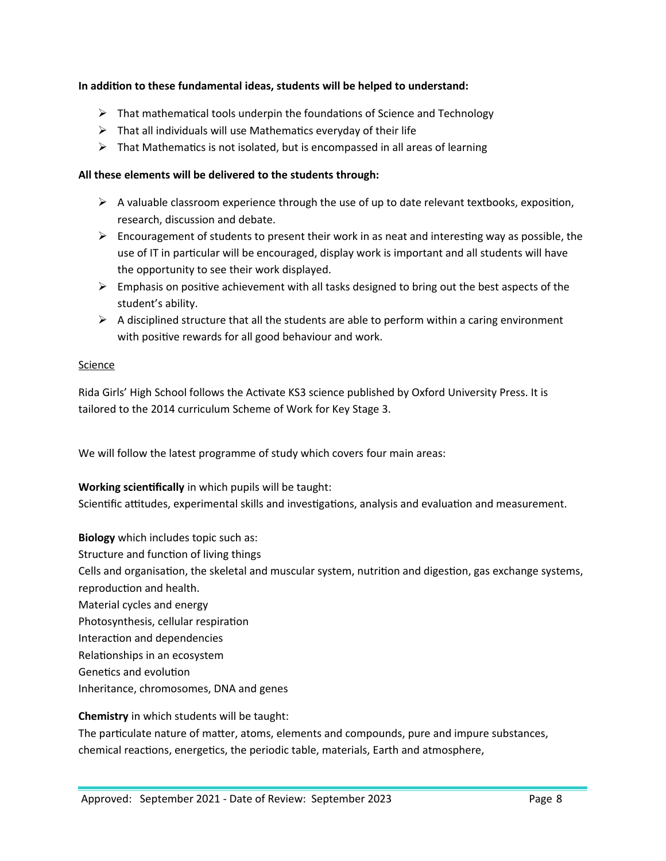## **In addition to these fundamental ideas, students will be helped to understand:**

- $\triangleright$  That mathematical tools underpin the foundations of Science and Technology
- $\triangleright$  That all individuals will use Mathematics everyday of their life
- $\triangleright$  That Mathematics is not isolated, but is encompassed in all areas of learning

## **All these elements will be delivered to the students through:**

- $\triangleright$  A valuable classroom experience through the use of up to date relevant textbooks, exposition, research, discussion and debate.
- $\triangleright$  Encouragement of students to present their work in as neat and interesting way as possible, the use of IT in particular will be encouraged, display work is important and all students will have the opportunity to see their work displayed.
- $\triangleright$  Emphasis on positive achievement with all tasks designed to bring out the best aspects of the student's ability.
- $\triangleright$  A disciplined structure that all the students are able to perform within a caring environment with positive rewards for all good behaviour and work.

## **Science**

Rida Girls' High School follows the Activate KS3 science published by Oxford University Press. It is tailored to the 2014 curriculum Scheme of Work for Key Stage 3.

We will follow the latest programme of study which covers four main areas:

## **Working scientifically** in which pupils will be taught:

Scientific attitudes, experimental skills and investigations, analysis and evaluation and measurement.

**Biology** which includes topic such as: Structure and function of living things Cells and organisation, the skeletal and muscular system, nutrition and digestion, gas exchange systems, reproduction and health. Material cycles and energy Photosynthesis, cellular respiration Interaction and dependencies Relationships in an ecosystem Genetics and evolution Inheritance, chromosomes, DNA and genes

## **Chemistry** in which students will be taught:

The particulate nature of matter, atoms, elements and compounds, pure and impure substances, chemical reactions, energetics, the periodic table, materials, Earth and atmosphere,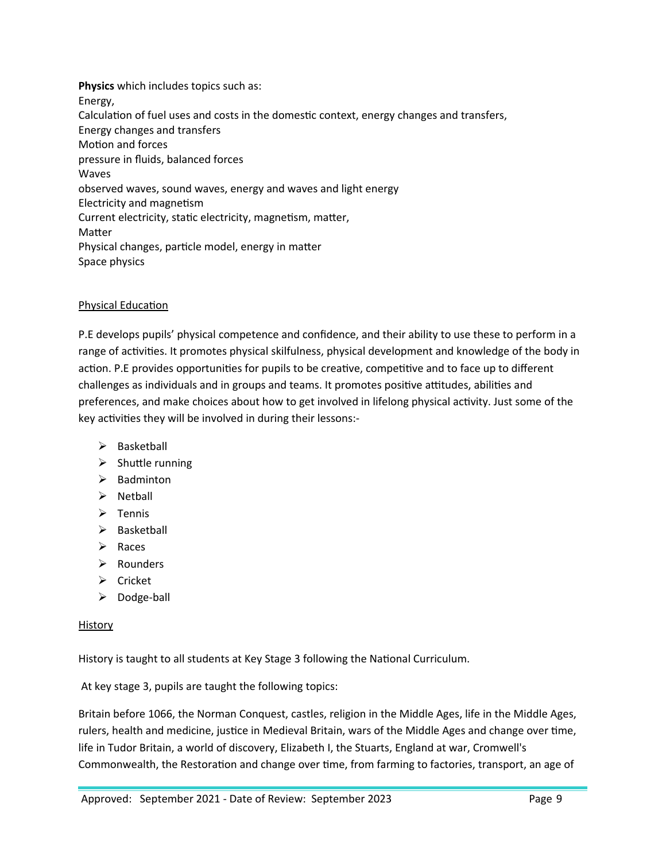**Physics** which includes topics such as: Energy, Calculation of fuel uses and costs in the domestic context, energy changes and transfers, Energy changes and transfers Motion and forces pressure in fluids, balanced forces Waves observed waves, sound waves, energy and waves and light energy Electricity and magnetism Current electricity, static electricity, magnetism, matter, Matter Physical changes, particle model, energy in matter Space physics

## Physical Education

P.E develops pupils' physical competence and confidence, and their ability to use these to perform in a range of activities. It promotes physical skilfulness, physical development and knowledge of the body in action. P.E provides opportunities for pupils to be creative, competitive and to face up to different challenges as individuals and in groups and teams. It promotes positive attitudes, abilities and preferences, and make choices about how to get involved in lifelong physical activity. Just some of the key activities they will be involved in during their lessons:-

- $\triangleright$  Basketball
- $\triangleright$  Shuttle running
- $\triangleright$  Badminton
- $\triangleright$  Netball
- $\triangleright$  Tennis
- $\triangleright$  Basketball
- $\triangleright$  Races
- > Rounders
- $\triangleright$  Cricket
- $\triangleright$  Dodge-ball

# History

History is taught to all students at Key Stage 3 following the National Curriculum.

At key stage 3, pupils are taught the following topics:

Britain before 1066, the Norman Conquest, castles, religion in the Middle Ages, life in the Middle Ages, rulers, health and medicine, justice in Medieval Britain, wars of the Middle Ages and change over time, life in Tudor Britain, a world of discovery, Elizabeth I, the Stuarts, England at war, Cromwell's Commonwealth, the Restoration and change over time, from farming to factories, transport, an age of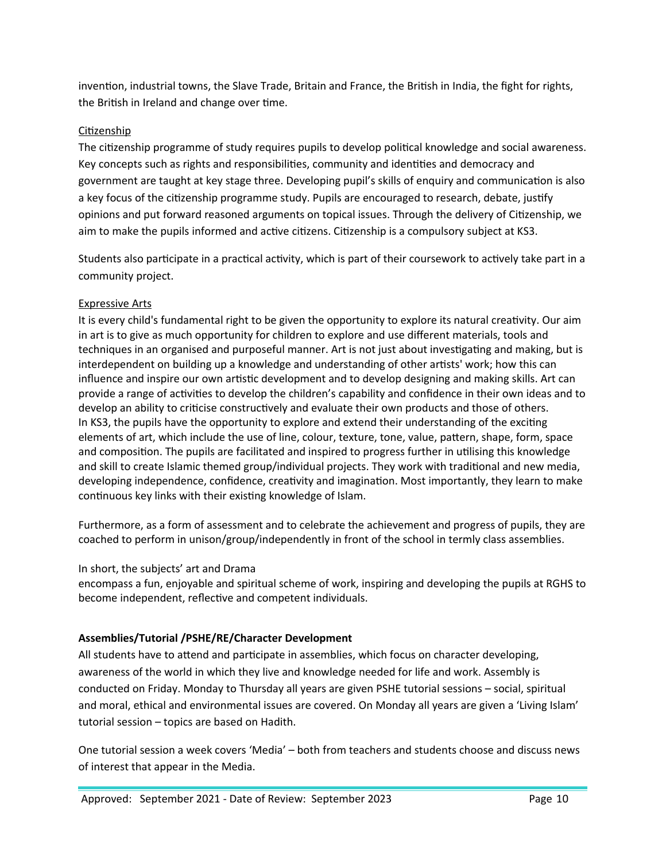invention, industrial towns, the Slave Trade, Britain and France, the British in India, the fight for rights, the British in Ireland and change over time.

## Citizenship

The citizenship programme of study requires pupils to develop political knowledge and social awareness. Key concepts such as rights and responsibilities, community and identities and democracy and government are taught at key stage three. Developing pupil's skills of enquiry and communication is also a key focus of the citizenship programme study. Pupils are encouraged to research, debate, justify opinions and put forward reasoned arguments on topical issues. Through the delivery of Citizenship, we aim to make the pupils informed and active citizens. Citizenship is a compulsory subject at KS3.

Students also participate in a practical activity, which is part of their coursework to actively take part in a community project.

## Expressive Arts

It is every child's fundamental right to be given the opportunity to explore its natural creativity. Our aim in art is to give as much opportunity for children to explore and use different materials, tools and techniques in an organised and purposeful manner. Art is not just about investigating and making, but is interdependent on building up a knowledge and understanding of other artists' work; how this can influence and inspire our own artistic development and to develop designing and making skills. Art can provide a range of activities to develop the children's capability and confidence in their own ideas and to develop an ability to criticise constructively and evaluate their own products and those of others. In KS3, the pupils have the opportunity to explore and extend their understanding of the exciting elements of art, which include the use of line, colour, texture, tone, value, pattern, shape, form, space and composition. The pupils are facilitated and inspired to progress further in utilising this knowledge and skill to create Islamic themed group/individual projects. They work with traditional and new media, developing independence, confidence, creativity and imagination. Most importantly, they learn to make continuous key links with their existing knowledge of Islam.

Furthermore, as a form of assessment and to celebrate the achievement and progress of pupils, they are coached to perform in unison/group/independently in front of the school in termly class assemblies.

## In short, the subjects' art and Drama

encompass a fun, enjoyable and spiritual scheme of work, inspiring and developing the pupils at RGHS to become independent, reflective and competent individuals.

# <span id="page-9-0"></span>**Assemblies/Tutorial /PSHE/RE/Character Development**

All students have to attend and participate in assemblies, which focus on character developing, awareness of the world in which they live and knowledge needed for life and work. Assembly is conducted on Friday. Monday to Thursday all years are given PSHE tutorial sessions – social, spiritual and moral, ethical and environmental issues are covered. On Monday all years are given a 'Living Islam' tutorial session – topics are based on Hadith.

One tutorial session a week covers 'Media' – both from teachers and students choose and discuss news of interest that appear in the Media.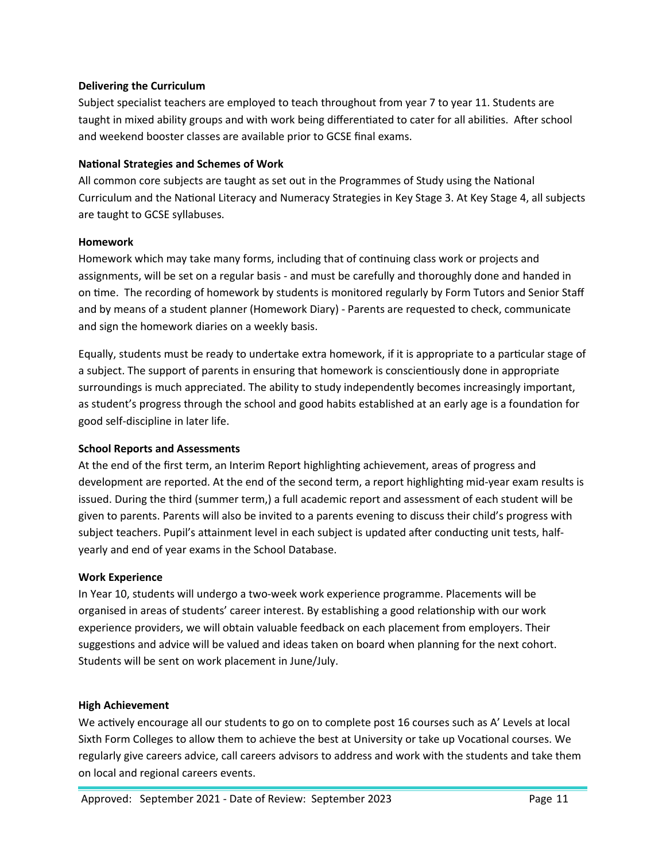#### <span id="page-10-0"></span>**Delivering the Curriculum**

Subject specialist teachers are employed to teach throughout from year 7 to year 11. Students are taught in mixed ability groups and with work being differentiated to cater for all abilities. After school and weekend booster classes are available prior to GCSE final exams.

## <span id="page-10-1"></span>**National Strategies and Schemes of Work**

All common core subjects are taught as set out in the Programmes of Study using the National Curriculum and the National Literacy and Numeracy Strategies in Key Stage 3. At Key Stage 4, all subjects are taught to GCSE syllabuses.

## <span id="page-10-2"></span>**Homework**

Homework which may take many forms, including that of continuing class work or projects and assignments, will be set on a regular basis - and must be carefully and thoroughly done and handed in on time. The recording of homework by students is monitored regularly by Form Tutors and Senior Staff and by means of a student planner (Homework Diary) - Parents are requested to check, communicate and sign the homework diaries on a weekly basis.

Equally, students must be ready to undertake extra homework, if it is appropriate to a particular stage of a subject. The support of parents in ensuring that homework is conscientiously done in appropriate surroundings is much appreciated. The ability to study independently becomes increasingly important, as student's progress through the school and good habits established at an early age is a foundation for good self-discipline in later life.

#### <span id="page-10-3"></span>**School Reports and Assessments**

At the end of the first term, an Interim Report highlighting achievement, areas of progress and development are reported. At the end of the second term, a report highlighting mid-year exam results is issued. During the third (summer term,) a full academic report and assessment of each student will be given to parents. Parents will also be invited to a parents evening to discuss their child's progress with subject teachers. Pupil's attainment level in each subject is updated after conducting unit tests, halfyearly and end of year exams in the School Database.

#### <span id="page-10-4"></span>**Work Experience**

In Year 10, students will undergo a two-week work experience programme. Placements will be organised in areas of students' career interest. By establishing a good relationship with our work experience providers, we will obtain valuable feedback on each placement from employers. Their suggestions and advice will be valued and ideas taken on board when planning for the next cohort. Students will be sent on work placement in June/July.

#### <span id="page-10-5"></span>**High Achievement**

We actively encourage all our students to go on to complete post 16 courses such as A' Levels at local Sixth Form Colleges to allow them to achieve the best at University or take up Vocational courses. We regularly give careers advice, call careers advisors to address and work with the students and take them on local and regional careers events.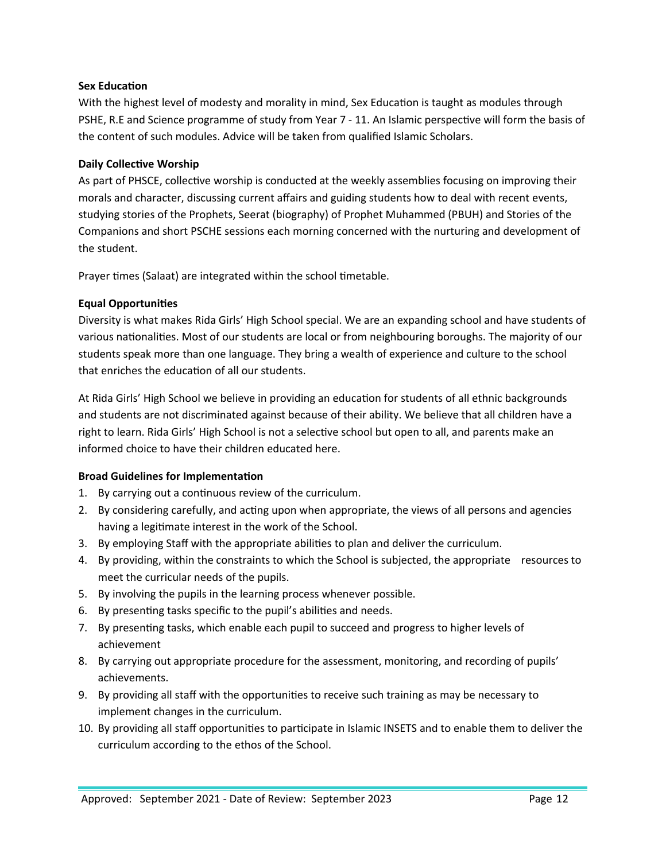## <span id="page-11-1"></span>**Sex Education**

With the highest level of modesty and morality in mind, Sex Education is taught as modules through PSHE, R.E and Science programme of study from Year 7 - 11. An Islamic perspective will form the basis of the content of such modules. Advice will be taken from qualified Islamic Scholars.

## <span id="page-11-2"></span>**Daily Collective Worship**

As part of PHSCE, collective worship is conducted at the weekly assemblies focusing on improving their morals and character, discussing current affairs and guiding students how to deal with recent events, studying stories of the Prophets, Seerat (biography) of Prophet Muhammed (PBUH) and Stories of the Companions and short PSCHE sessions each morning concerned with the nurturing and development of the student.

Prayer times (Salaat) are integrated within the school timetable.

## <span id="page-11-3"></span>**Equal Opportunities**

Diversity is what makes Rida Girls' High School special. We are an expanding school and have students of various nationalities. Most of our students are local or from neighbouring boroughs. The majority of our students speak more than one language. They bring a wealth of experience and culture to the school that enriches the education of all our students.

At Rida Girls' High School we believe in providing an education for students of all ethnic backgrounds and students are not discriminated against because of their ability. We believe that all children have a right to learn. Rida Girls' High School is not a selective school but open to all, and parents make an informed choice to have their children educated here.

## <span id="page-11-0"></span>**Broad Guidelines for Implementation**

- 1. By carrying out a continuous review of the curriculum.
- 2. By considering carefully, and acting upon when appropriate, the views of all persons and agencies having a legitimate interest in the work of the School.
- 3. By employing Staff with the appropriate abilities to plan and deliver the curriculum.
- 4. By providing, within the constraints to which the School is subjected, the appropriate resources to meet the curricular needs of the pupils.
- 5. By involving the pupils in the learning process whenever possible.
- 6. By presenting tasks specific to the pupil's abilities and needs.
- 7. By presenting tasks, which enable each pupil to succeed and progress to higher levels of achievement
- 8. By carrying out appropriate procedure for the assessment, monitoring, and recording of pupils' achievements.
- 9. By providing all staff with the opportunities to receive such training as may be necessary to implement changes in the curriculum.
- 10. By providing all staff opportunities to participate in Islamic INSETS and to enable them to deliver the curriculum according to the ethos of the School.